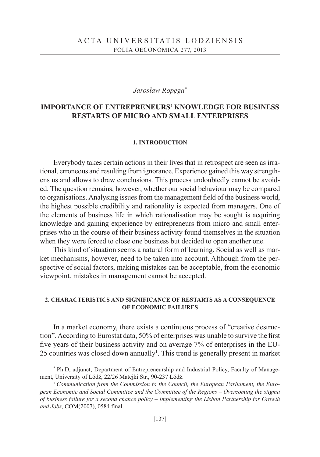## *Jarosław Ropęga\**

# **IMPORTANCE OF ENTREPRENEURS' KNOWLEDGE FOR BUSINESS RESTARTS OF MICRO AND SMALL ENTERPRISES**

#### **1. INTRODUCTION**

Everybody takes certain actions in their lives that in retrospect are seen as irrational, erroneous and resulting from ignorance. Experience gained this way strengthens us and allows to draw conclusions. This process undoubtedly cannot be avoided. The question remains, however, whether our social behaviour may be compared to organisations. Analysing issues from the management field of the business world, the highest possible credibility and rationality is expected from managers. One of the elements of business life in which rationalisation may be sought is acquiring knowledge and gaining experience by entrepreneurs from micro and small enterprises who in the course of their business activity found themselves in the situation when they were forced to close one business but decided to open another one.

This kind of situation seems a natural form of learning. Social as well as market mechanisms, however, need to be taken into account. Although from the perspective of social factors, making mistakes can be acceptable, from the economic viewpoint, mistakes in management cannot be accepted.

## **2. CHARACTERISTICS AND SIGNIFICANCE OF RESTARTS AS A CONSEQUENCE OF ECONOMIC FAILURES**

In a market economy, there exists a continuous process of "creative destruction". According to Eurostat data, 50% of enterprises was unable to survive the first five years of their business activity and on average 7% of enterprises in the EU-25 countries was closed down annually<sup>1</sup>. This trend is generally present in market

<sup>\*</sup> Ph.D, adjunct, Department of Entrepreneurship and Industrial Policy, Faculty of Management, University of Łódź, 22/26 Matejki Str., 90-237 Łódź.<br><sup>1</sup> *Communication from the Commission to the Council, the European Parliament, the Euro-*

*pean Economic and Social Committee and the Committee of the Regions – Overcoming the stigma of business failure for a second chance policy – Implementing the Lisbon Partnership for Growth and Jobs*, COM(2007), 0584 final.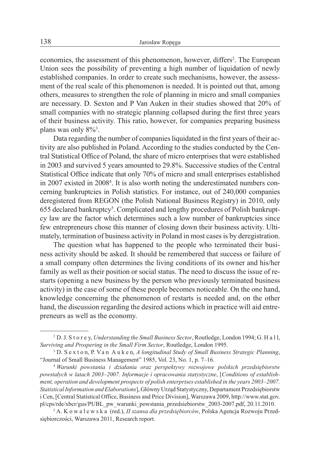economies, the assessment of this phenomenon, however, differs<sup>2</sup>. The European Union sees the possibility of preventing a high number of liquidation of newly established companies. In order to create such mechanisms, however, the assessment of the real scale of this phenomenon is needed. It is pointed out that, among others, measures to strengthen the role of planning in micro and small companies are necessary. D. Sexton and P Van Auken in their studies showed that 20% of small companies with no strategic planning collapsed during the first three years of their business activity. This ratio, however, for companies preparing business plans was only  $8\%$ <sup>3</sup>.

Data regarding the number of companies liquidated in the first years of their activity are also published in Poland. According to the studies conducted by the Central Statistical Office of Poland, the share of micro enterprises that were established in 2003 and survived 5 years amounted to 29.8%. Successive studies of the Central Statistical Office indicate that only 70% of micro and small enterprises established in 2007 existed in 2008<sup>4</sup>. It is also worth noting the underestimated numbers concerning bankruptcies in Polish statistics. For instance, out of 240,000 companies deregistered from REGON (the Polish National Business Registry) in 2010, only 655 declared bankruptcy<sup>5</sup>. Complicated and lengthy procedures of Polish bankruptcy law are the factor which determines such a low number of bankruptcies since few entrepreneurs chose this manner of closing down their business activity. Ultimately, termination of business activity in Poland in most cases is by deregistration.

The question what has happened to the people who terminated their business activity should be asked. It should be remembered that success or failure of a small company often determines the living conditions of its owner and his/her family as well as their position or social status. The need to discuss the issue of restarts (opening a new business by the person who previously terminated business activity) in the case of some of these people becomes noticeable. On the one hand, knowledge concerning the phenomenon of restarts is needed and, on the other hand, the discussion regarding the desired actions which in practice will aid entrepreneurs as well as the economy.

<sup>2</sup> D. J. S t o r e y, *Understanding the Small Business Sector*, Routledge, London 1994; G. H a l l, *Surviving and Prospering in the Small Firm Sector*, Routledge, London 1995. 3 D. S e x t o n, P. Va n A u k e n, *A longitudinal Study of Small Business Strategic Planning*,

<sup>&</sup>quot;Journal of Small Business Management" 1985, Vol. 23, No. 1, p. 7–16. 4 *Warunki powstania i działania oraz perspektywy rozwojowe polskich przedsiębiorstw* 

*powstałych w latach 2003–2007. Informacje i opracowania statystyczne*, [*Conditions of establishment, operation and development prospects of polish enterprises established in the years 2003–2007. Statistical Information and Elaborations*], Główny Urząd Statystyczny, Departament Przedsiębiorstw i Cen, [Central Statistical Office, Business and Price Division], Warszawa 2009, http://www.stat.gov. pl/cps/rde/xbcr/gus/PUBL\_pw\_warunki\_powstania\_przedsiebiorstw\_2003-2007.pdf, 20.11.2010. 5 A. K o w a l e w s k a (red.), *II szansa dla przedsiębiorców*, Polska Agencja Rozwoju Przed-

siębiorczości, Warszawa 2011, Research report.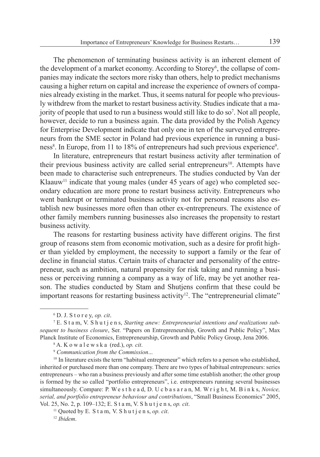The phenomenon of terminating business activity is an inherent element of the development of a market economy. According to Storey<sup>6</sup>, the collapse of companies may indicate the sectors more risky than others, help to predict mechanisms causing a higher return on capital and increase the experience of owners of companies already existing in the market. Thus, it seems natural for people who previously withdrew from the market to restart business activity. Studies indicate that a majority of people that used to run a business would still like to do so<sup>7</sup>. Not all people, however, decide to run a business again. The data provided by the Polish Agency for Enterprise Development indicate that only one in ten of the surveyed entrepreneurs from the SME sector in Poland had previous experience in running a business<sup>8</sup>. In Europe, from 11 to 18% of entrepreneurs had such previous experience<sup>9</sup>.

In literature, entrepreneurs that restart business activity after termination of their previous business activity are called serial entrepreneurs<sup>10</sup>. Attempts have been made to characterise such entrepreneurs. The studies conducted by Van der  $K$ laauw<sup>11</sup> indicate that young males (under 45 years of age) who completed secondary education are more prone to restart business activity. Entrepreneurs who went bankrupt or terminated business activity not for personal reasons also establish new businesses more often than other ex-entrepreneurs. The existence of other family members running businesses also increases the propensity to restart business activity.

The reasons for restarting business activity have different origins. The first group of reasons stem from economic motivation, such as a desire for profit higher than yielded by employment, the necessity to support a family or the fear of decline in financial status. Certain traits of character and personality of the entrepreneur, such as ambition, natural propensity for risk taking and running a business or perceiving running a company as a way of life, may be yet another reason. The studies conducted by Stam and Shutjens confirm that these could be important reasons for restarting business activity<sup>12</sup>. The "entrepreneurial climate"

<sup>6</sup> D. J. S t o r e y, *op. cit*.

<sup>7</sup> E. S t a m, V. S h u t j e n s, *Starting anew: Entrepreneurial intentions and realizations subsequent to business closure*, Ser. "Papers on Entrepreneurship, Growth and Public Policy", Max Planck Institute of Economics, Entrepreneurship, Growth and Public Policy Group, Jena 2006.<br><sup>8</sup> A. K o w a l e w s k a (red.), *op. cit.*<br><sup>9</sup> Communication from the Commission...<br><sup>10</sup> In literature exists the term "habitu

inherited or purchased more than one company. There are two types of habitual entrepreneurs: series entrepreneurs – who ran a business previously and after some time establish another; the other group is formed by the so called "portfolio entrepreneurs", i.e. entrepreneurs running several businesses simultaneously. Compare: P. W e s t h e a d, D. U c b a s a r a n, M. W r i g h t, M. B i n k s, *Novice, serial, and portfolio entrepreneur behaviour and contributions*, "Small Business Economics" 2005, Vol. 25, No. 2, p. 109–132; E. S t a m, V. S h u t j e n s, *op. cit*. 11 Quoted by E. S t a m, V. S h u t j e n s, *op. cit*. 12 *Ibidem*.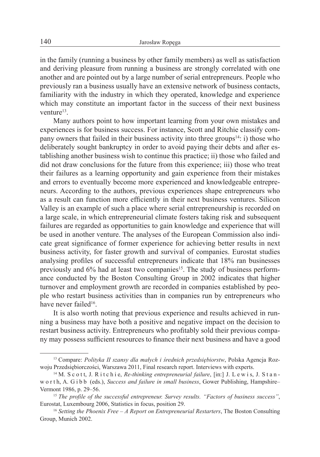in the family (running a business by other family members) as well as satisfaction and deriving pleasure from running a business are strongly correlated with one another and are pointed out by a large number of serial entrepreneurs. People who previously ran a business usually have an extensive network of business contacts, familiarity with the industry in which they operated, knowledge and experience which may constitute an important factor in the success of their next business venture<sup>13</sup>

Many authors point to how important learning from your own mistakes and experiences is for business success. For instance, Scott and Ritchie classify company owners that failed in their business activity into three groups<sup>14</sup>: i) those who deliberately sought bankruptcy in order to avoid paying their debts and after establishing another business wish to continue this practice; ii) those who failed and did not draw conclusions for the future from this experience; iii) those who treat their failures as a learning opportunity and gain experience from their mistakes and errors to eventually become more experienced and knowledgeable entrepreneurs. According to the authors, previous experiences shape entrepreneurs who as a result can function more efficiently in their next business ventures. Silicon Valley is an example of such a place where serial entrepreneurship is recorded on a large scale, in which entrepreneurial climate fosters taking risk and subsequent failures are regarded as opportunities to gain knowledge and experience that will be used in another venture. The analyses of the European Commission also indicate great significance of former experience for achieving better results in next business activity, for faster growth and survival of companies. Eurostat studies analysing profiles of successful entrepreneurs indicate that 18% ran businesses previously and 6% had at least two companies<sup>15</sup>. The study of business performance conducted by the Boston Consulting Group in 2002 indicates that higher turnover and employment growth are recorded in companies established by people who restart business activities than in companies run by entrepreneurs who have never failed<sup>16</sup>.

It is also worth noting that previous experience and results achieved in running a business may have both a positive and negative impact on the decision to restart business activity. Entrepreneurs who profitably sold their previous company may possess sufficient resources to finance their next business and have a good

<sup>13</sup> Compare: *Polityka II szansy dla małych i średnich przedsiębiorstw*, Polska Agencja Rozwoju Przedsiębiorczości, Warszawa 2011, Final research report. Interviews with experts. 14 M. S c o t t, J. R i t c h i e, *Re-thinking entrepreneurial failure*, [in:] J. L e w i s, J. S t a n -

w o r t h, A. G i b b (eds.), *Success and failure in small business*, Gower Publishing, Hampshire– Vermont 1986, p. 29–56.<br><sup>15</sup> *The profile of the successful entrepreneur. Survey results. "Factors of business success"*,

Eurostat, Luxembourg 2006, Statistics in focus, position 29. 16 *Setting the Phoenix Free – A Report on Entrepreneurial Restarters*, The Boston Consulting

Group, Munich 2002.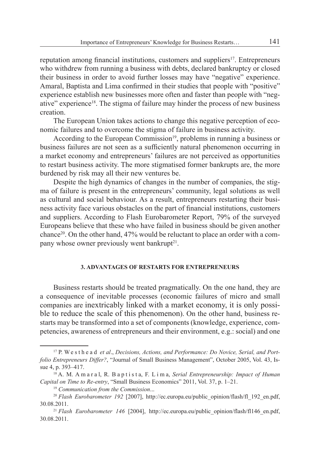reputation among financial institutions, customers and suppliers<sup>17</sup>. Entrepreneurs who withdrew from running a business with debts, declared bankruptcy or closed their business in order to avoid further losses may have "negative" experience. Amaral, Baptista and Lima confirmed in their studies that people with "positive" experience establish new businesses more often and faster than people with "negative" experience18. The stigma of failure may hinder the process of new business creation.

The European Union takes actions to change this negative perception of economic failures and to overcome the stigma of failure in business activity.

According to the European Commission<sup>19</sup>, problems in running a business or business failures are not seen as a sufficiently natural phenomenon occurring in a market economy and entrepreneurs' failures are not perceived as opportunities to restart business activity. The more stigmatised former bankrupts are, the more burdened by risk may all their new ventures be.

Despite the high dynamics of changes in the number of companies, the stigma of failure is present in the entrepreneurs' community, legal solutions as well as cultural and social behaviour. As a result, entrepreneurs restarting their business activity face various obstacles on the part of financial institutions, customers and suppliers. According to Flash Eurobarometer Report, 79% of the surveyed Europeans believe that these who have failed in business should be given another chance20. On the other hand, 47% would be reluctant to place an order with a company whose owner previously went bankrupt $2<sup>1</sup>$ .

## **3. ADVANTAGES OF RESTARTS FOR ENTREPRENEURS**

Business restarts should be treated pragmatically. On the one hand, they are a consequence of inevitable processes (economic failures of micro and small companies are inextricably linked with a market economy, it is only possible to reduce the scale of this phenomenon). On the other hand, business restarts may be transformed into a set of components (knowledge, experience, competencies, awareness of entrepreneurs and their environment, e.g.: social) and one

<sup>17</sup> P. W e s t h e a d *et al*., *Decisions, Actions, and Performance: Do Novice, Serial, and Portfolio Entrepreneurs Differ?*, "Journal of Small Business Management", October 2005, Vol. 43, Issue 4, p. 393–417.

<sup>18</sup> A. M. A m a r a l, R. B a p t i s t a, F. L i m a, *Serial Entrepreneurship: Impact of Human*  Capital on Time to Re-entry, "Small Business Economics" 2011, Vol. 37, p. 1–21.<br><sup>19</sup> Communication from the Commission...<br><sup>20</sup> Flash Eurobarometer 192 [2007], http://ec.europa.eu/public opinion/flash/fl 192 en.pdf,

<sup>30.08.2011. 21</sup> *Flash Eurobarometer 146* [2004], http://ec.europa.eu/public\_opinion/flash/fl146\_en.pdf,

<sup>30.08.2011.</sup>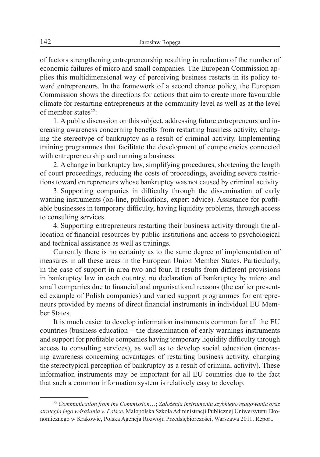of factors strengthening entrepreneurship resulting in reduction of the number of economic failures of micro and small companies. The European Commission applies this multidimensional way of perceiving business restarts in its policy toward entrepreneurs. In the framework of a second chance policy, the European Commission shows the directions for actions that aim to create more favourable climate for restarting entrepreneurs at the community level as well as at the level of member states $22$ .

1. A public discussion on this subject, addressing future entrepreneurs and increasing awareness concerning benefits from restarting business activity, changing the stereotype of bankruptcy as a result of criminal activity. Implementing training programmes that facilitate the development of competencies connected with entrepreneurship and running a business.

2. A change in bankruptcy law, simplifying procedures, shortening the length of court proceedings, reducing the costs of proceedings, avoiding severe restrictions toward entrepreneurs whose bankruptcy was not caused by criminal activity.

3. Supporting companies in difficulty through the dissemination of early warning instruments (on-line, publications, expert advice). Assistance for profitable businesses in temporary difficulty, having liquidity problems, through access to consulting services.

4. Supporting entrepreneurs restarting their business activity through the allocation of financial resources by public institutions and access to psychological and technical assistance as well as trainings.

Currently there is no certainty as to the same degree of implementation of measures in all these areas in the European Union Member States. Particularly, in the case of support in area two and four. It results from different provisions in bankruptcy law in each country, no declaration of bankruptcy by micro and small companies due to financial and organisational reasons (the earlier presented example of Polish companies) and varied support programmes for entrepreneurs provided by means of direct financial instruments in individual EU Member States.

It is much easier to develop information instruments common for all the EU countries (business education – the dissemination of early warnings instruments and support for profitable companies having temporary liquidity difficulty through access to consulting services), as well as to develop social education (increasing awareness concerning advantages of restarting business activity, changing the stereotypical perception of bankruptcy as a result of criminal activity). These information instruments may be important for all EU countries due to the fact that such a common information system is relatively easy to develop.

<sup>22</sup> *Communication from the Commission*…; *Założenia instrumentu szybkiego reagowania oraz strategia jego wdrażania w Polsce*, Małopolska Szkoła Administracji Publicznej Uniwersytetu Ekonomicznego w Krakowie, Polska Agencja Rozwoju Przedsiębiorczości, Warszawa 2011, Report.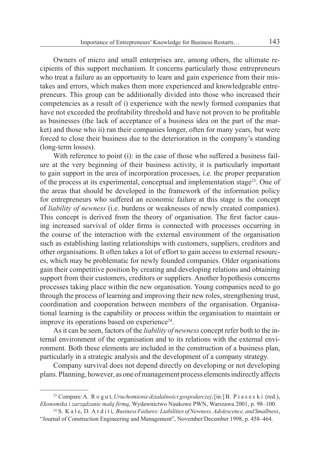Owners of micro and small enterprises are, among others, the ultimate recipients of this support mechanism. It concerns particularly those entrepreneurs who treat a failure as an opportunity to learn and gain experience from their mistakes and errors, which makes them more experienced and knowledgeable entrepreneurs. This group can be additionally divided into those who increased their competencies as a result of i) experience with the newly formed companies that have not exceeded the profitability threshold and have not proven to be profitable as businesses (the lack of acceptance of a business idea on the part of the market) and those who ii) ran their companies longer, often for many years, but were forced to close their business due to the deterioration in the company's standing (long-term losses).

With reference to point (i): in the case of those who suffered a business failure at the very beginning of their business activity, it is particularly important to gain support in the area of incorporation processes, i.e. the proper preparation of the process at its experimental, conceptual and implementation stage<sup>23</sup>. One of the areas that should be developed in the framework of the information policy for entrepreneurs who suffered an economic failure at this stage is the concept of *liability of newness* (i.e. burdens or weaknesses of newly created companies). This concept is derived from the theory of organisation. The first factor causing increased survival of older firms is connected with processes occurring in the course of the interaction with the external environment of the organisation such as establishing lasting relationships with customers, suppliers, creditors and other organisations. It often takes a lot of effort to gain access to external resources, which may be problematic for newly founded companies. Older organisations gain their competitive position by creating and developing relations and obtaining support from their customers, creditors or suppliers. Another hypothesis concerns processes taking place within the new organisation. Young companies need to go through the process of learning and improving their new roles, strengthening trust, coordination and cooperation between members of the organisation. Organisational learning is the capability or process within the organisation to maintain or improve its operations based on experience<sup>24</sup>.

As it can be seen, factors of the *liability of newness* concept refer both to the internal environment of the organisation and to its relations with the external environment. Both these elements are included in the construction of a business plan, particularly in a strategic analysis and the development of a company strategy.

Company survival does not depend directly on developing or not developing plans. Planning, however, as one of management process elements indirectly affects

<sup>23</sup> Compare: A. R o g u t, *Uruchomienie działalności gospodarczej*, [in:] B. P i a s e c k i (red.), *Ekonomika i zarządzanie małą firmą*, Wydawnictwo Naukowe PWN, Warszawa 2001, p. 98–100. 24 S. K a l e, D. A r d i t i, *Business Failures: Liabilities of Newness, Adolescence, and Smallness*,

<sup>&</sup>quot;Journal of Construction Engineering and Management", November/December 1998, p. 458–464.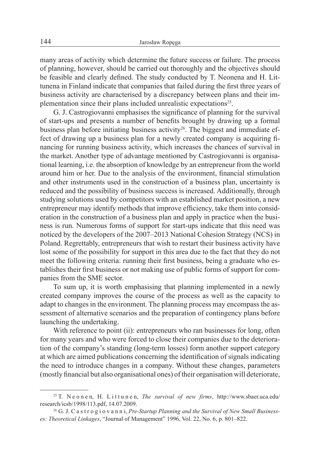many areas of activity which determine the future success or failure. The process of planning, however, should be carried out thoroughly and the objectives should be feasible and clearly defined. The study conducted by T. Neonena and H. Littunena in Finland indicate that companies that failed during the first three years of business activity are characterised by a discrepancy between plans and their implementation since their plans included unrealistic expectations<sup>25</sup>.

G. J. Castrogiovanni emphasises the significance of planning for the survival of start-ups and presents a number of benefits brought by drawing up a formal business plan before initiating business activity<sup>26</sup>. The biggest and immediate effect of drawing up a business plan for a newly created company is acquiring financing for running business activity, which increases the chances of survival in the market. Another type of advantage mentioned by Castrogiovanni is organisational learning, i.e. the absorption of knowledge by an entrepreneur from the world around him or her. Due to the analysis of the environment, financial stimulation and other instruments used in the construction of a business plan, uncertainty is reduced and the possibility of business success is increased. Additionally, through studying solutions used by competitors with an established market position, a new entrepreneur may identify methods that improve efficiency, take them into consideration in the construction of a business plan and apply in practice when the business is run. Numerous forms of support for start-ups indicate that this need was noticed by the developers of the 2007–2013 National Cohesion Strategy (NCS) in Poland. Regrettably, entrepreneurs that wish to restart their business activity have lost some of the possibility for support in this area due to the fact that they do not meet the following criteria: running their first business, being a graduate who establishes their first business or not making use of public forms of support for companies from the SME sector.

To sum up, it is worth emphasising that planning implemented in a newly created company improves the course of the process as well as the capacity to adapt to changes in the environment. The planning process may encompass the assessment of alternative scenarios and the preparation of contingency plans before launching the undertaking.

With reference to point (ii): entrepreneurs who ran businesses for long, often for many years and who were forced to close their companies due to the deterioration of the company's standing (long-term losses) form another support category at which are aimed publications concerning the identification of signals indicating the need to introduce changes in a company. Without these changes, parameters (mostly financial but also organisational ones) of their organisation will deteriorate,

<sup>25</sup> T. N e o n e n, H. L i t t u n e n, *The survival of new firms*, http://www.sbaer.uca.edu/ research/icsb/1998/113.pdf, 14.07.2009.<br><sup>26</sup> G. J. C a s t r o g i o v a n n i, *Pre-Startup Planning and the Survival of New Small Business-*

*es: Theoretical Linkages*, "Journal of Management" 1996, Vol. 22, No. 6, p. 801–822.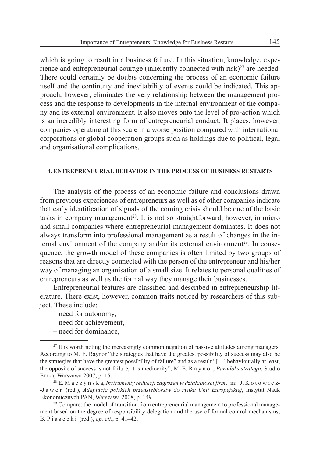which is going to result in a business failure. In this situation, knowledge, experience and entrepreneurial courage (inherently connected with risk) $^{27}$  are needed. There could certainly be doubts concerning the process of an economic failure itself and the continuity and inevitability of events could be indicated. This approach, however, eliminates the very relationship between the management process and the response to developments in the internal environment of the company and its external environment. It also moves onto the level of pro-action which is an incredibly interesting form of entrepreneurial conduct. It places, however, companies operating at this scale in a worse position compared with international corporations or global cooperation groups such as holdings due to political, legal and organisational complications.

## **4. ENTREPRENEURIAL BEHAVIOR IN THE PROCESS OF BUSINESS RESTARTS**

The analysis of the process of an economic failure and conclusions drawn from previous experiences of entrepreneurs as well as of other companies indicate that early identification of signals of the coming crisis should be one of the basic tasks in company management<sup>28</sup>. It is not so straightforward, however, in micro and small companies where entrepreneurial management dominates. It does not always transform into professional management as a result of changes in the internal environment of the company and/or its external environment<sup>29</sup>. In consequence, the growth model of these companies is often limited by two groups of reasons that are directly connected with the person of the entrepreneur and his/her way of managing an organisation of a small size. It relates to personal qualities of entrepreneurs as well as the formal way they manage their businesses.

Entrepreneurial features are classified and described in entrepreneurship literature. There exist, however, common traits noticed by researchers of this subject. These include:

- need for autonomy,
- need for achievement,
- need for dominance,

<sup>&</sup>lt;sup>27</sup> It is worth noting the increasingly common negation of passive attitudes among managers. According to M. E. Raynor "the strategies that have the greatest possibility of success may also be the strategies that have the greatest possibility of failure" and as a result "[…] behaviourally at least, the opposite of success is not failure, it is mediocrity", M. E. R a y n o r, *Paradoks strategii*, Studio

<sup>&</sup>lt;sup>28</sup> E. M ą c z y ń s k a, *Instrumenty redukcji zagrożeń w działalności firm*, [in:] J. K o t o w i c z--J a w o r (red.), *Adaptacja polskich przedsiębiorstw do rynku Unii Europejskiej*, Instytut Nauk Ekonomicznych PAN, Warszawa 2008, p. 149.<br><sup>29</sup> Compare: the model of transition from entrepreneurial management to professional manage-

ment based on the degree of responsibility delegation and the use of formal control mechanisms, B. P i a s e c k i (red.), *op. cit*., p. 41–42.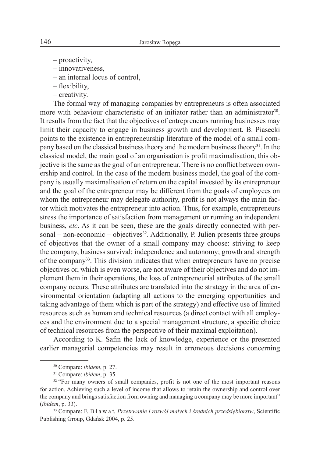- proactivity,
- innovativeness,
- an internal locus of control,
- flexibility,
- creativity.

The formal way of managing companies by entrepreneurs is often associated more with behaviour characteristic of an initiator rather than an administrator<sup>30</sup>. It results from the fact that the objectives of entrepreneurs running businesses may limit their capacity to engage in business growth and development. B. Piasecki points to the existence in entrepreneurship literature of the model of a small company based on the classical business theory and the modern business theory<sup>31</sup>. In the classical model, the main goal of an organisation is profit maximalisation, this objective is the same as the goal of an entrepreneur. There is no conflict between ownership and control. In the case of the modern business model, the goal of the company is usually maximalisation of return on the capital invested by its entrepreneur and the goal of the entrepreneur may be different from the goals of employees on whom the entrepreneur may delegate authority, profit is not always the main factor which motivates the entrepreneur into action. Thus, for example, entrepreneurs stress the importance of satisfaction from management or running an independent business, *etc*. As it can be seen, these are the goals directly connected with personal – non-economic – objectives<sup>32</sup>. Additionally, P. Julien presents three groups of objectives that the owner of a small company may choose: striving to keep the company, business survival; independence and autonomy; growth and strength of the company33. This division indicates that when entrepreneurs have no precise objectives or, which is even worse, are not aware of their objectives and do not implement them in their operations, the loss of entrepreneurial attributes of the small company occurs. These attributes are translated into the strategy in the area of environmental orientation (adapting all actions to the emerging opportunities and taking advantage of them which is part of the strategy) and effective use of limited resources such as human and technical resources (a direct contact with all employees and the environment due to a special management structure, a specific choice of technical resources from the perspective of their maximal exploitation).

According to K. Safin the lack of knowledge, experience or the presented earlier managerial competencies may result in erroneous decisions concerning

<sup>&</sup>lt;sup>30</sup> Compare: *ibidem*, p. 27.<br><sup>31</sup> Compare: *ibidem*, p. 35.<br><sup>32</sup> "For many owners of small companies, profit is not one of the most important reasons for action. Achieving such a level of income that allows to retain the ownership and control over the company and brings satisfaction from owning and managing a company may be more important" (*ibidem*, p. 33).

<sup>33</sup> Compare: F. B ł a w a t, *Przetrwanie i rozwój małych i średnich przedsiębiorstw*, Scientific Publishing Group, Gdańsk 2004, p. 25.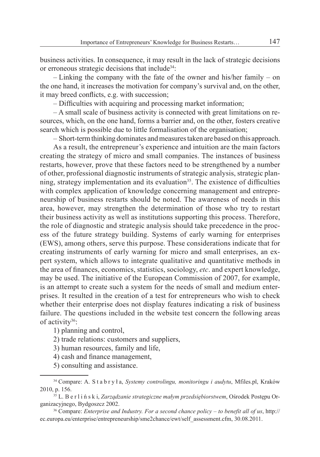business activities. In consequence, it may result in the lack of strategic decisions or erroneous strategic decisions that include<sup>34</sup>:

– Linking the company with the fate of the owner and his/her family – on the one hand, it increases the motivation for company's survival and, on the other, it may breed conflicts, e.g. with succession;

– Difficulties with acquiring and processing market information;

– A small scale of business activity is connected with great limitations on resources, which, on the one hand, forms a barrier and, on the other, fosters creative search which is possible due to little formalisation of the organisation;

– Short-term thinking dominates and measures taken are based on this approach.

As a result, the entrepreneur's experience and intuition are the main factors creating the strategy of micro and small companies. The instances of business restarts, however, prove that these factors need to be strengthened by a number of other, professional diagnostic instruments of strategic analysis, strategic planning, strategy implementation and its evaluation<sup>35</sup>. The existence of difficulties with complex application of knowledge concerning management and entrepreneurship of business restarts should be noted. The awareness of needs in this area, however, may strengthen the determination of those who try to restart their business activity as well as institutions supporting this process. Therefore, the role of diagnostic and strategic analysis should take precedence in the process of the future strategy building. Systems of early warning for enterprises (EWS), among others, serve this purpose. These considerations indicate that for creating instruments of early warning for micro and small enterprises, an expert system, which allows to integrate qualitative and quantitative methods in the area of finances, economics, statistics, sociology, *etc*. and expert knowledge, may be used. The initiative of the European Commission of 2007, for example, is an attempt to create such a system for the needs of small and medium enterprises. It resulted in the creation of a test for entrepreneurs who wish to check whether their enterprise does not display features indicating a risk of business failure. The questions included in the website test concern the following areas of activity<sup>36</sup>:

1) planning and control,

2) trade relations: customers and suppliers,

3) human resources, family and life,

4) cash and finance management,

5) consulting and assistance.

<sup>34</sup> Compare: A. S t a b r y ł a, *Systemy controlingu, monitoringu i audytu*, Mfiles.pl, Kraków 2010, p. 156. 35 L. B e r l i ń s k i, *Zarządzanie strategiczne małym przedsiębiorstwem*, Ośrodek Postępu Or-

ganizacyjnego, Bydgoszcz 2002. 36 Compare: *Enterprise and Industry. For a second chance policy – to benefit all of us*, http://

ec.europa.eu/enterprise/entrepreneurship/sme2chance/ewt/self\_assessment.cfm, 30.08.2011.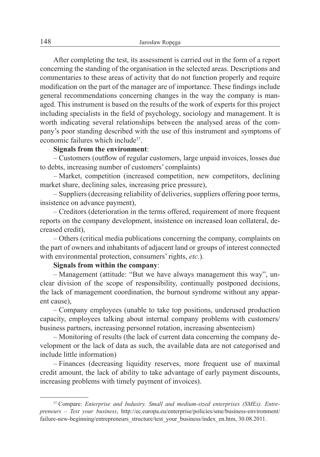After completing the test, its assessment is carried out in the form of a report concerning the standing of the organisation in the selected areas. Descriptions and commentaries to these areas of activity that do not function properly and require modification on the part of the manager are of importance. These findings include general recommendations concerning changes in the way the company is managed. This instrument is based on the results of the work of experts for this project including specialists in the field of psychology, sociology and management. It is worth indicating several relationships between the analysed areas of the company's poor standing described with the use of this instrument and symptoms of economic failures which include<sup>37</sup>.

# **Signals from the environment**:

– Customers (outflow of regular customers, large unpaid invoices, losses due to debts, increasing number of customers' complaints)

– Market, competition (increased competition, new competitors, declining market share, declining sales, increasing price pressure),

– Suppliers (decreasing reliability of deliveries, suppliers offering poor terms, insistence on advance payment),

– Creditors (deterioration in the terms offered, requirement of more frequent reports on the company development, insistence on increased loan collateral, decreased credit),

– Others (critical media publications concerning the company, complaints on the part of owners and inhabitants of adjacent land or groups of interest connected with environmental protection, consumers' rights, *etc*.).

# **Signals from within the company**:

– Management (attitude: "But we have always management this way", unclear division of the scope of responsibility, continually postponed decisions, the lack of management coordination, the burnout syndrome without any apparent cause),

– Company employees (unable to take top positions, underused production capacity, employees talking about internal company problems with customers/ business partners, increasing personnel rotation, increasing absenteeism)

– Monitoring of results (the lack of current data concerning the company development or the lack of data as such, the available data are not categorised and include little information)

– Finances (decreasing liquidity reserves, more frequent use of maximal credit amount, the lack of ability to take advantage of early payment discounts, increasing problems with timely payment of invoices).

<sup>37</sup> Compare: *Enterprise and Industry. Small and medium-stzed enterprises (SMEs). Entrepreneurs – Test your business*, http://ec.europa.eu/enterprise/policies/sme/business-environment/ failure-new-beginning/entrepreneurs\_structure/test\_your\_business/index\_en.htm, 30.08.2011.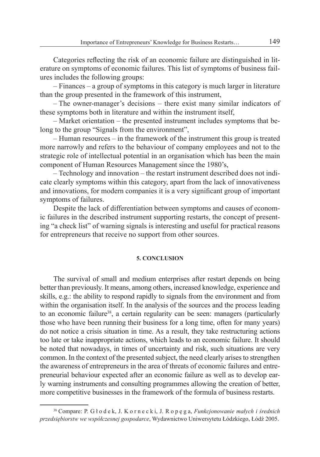Categories reflecting the risk of an economic failure are distinguished in literature on symptoms of economic failures. This list of symptoms of business failures includes the following groups:

– Finances – a group of symptoms in this category is much larger in literature than the group presented in the framework of this instrument,

– The owner-manager's decisions – there exist many similar indicators of these symptoms both in literature and within the instrument itself,

– Market orientation – the presented instrument includes symptoms that belong to the group "Signals from the environment",

– Human resources – in the framework of the instrument this group is treated more narrowly and refers to the behaviour of company employees and not to the strategic role of intellectual potential in an organisation which has been the main component of Human Resources Management since the 1980's,

– Technology and innovation – the restart instrument described does not indicate clearly symptoms within this category, apart from the lack of innovativeness and innovations, for modern companies it is a very significant group of important symptoms of failures.

Despite the lack of differentiation between symptoms and causes of economic failures in the described instrument supporting restarts, the concept of presenting "a check list" of warning signals is interesting and useful for practical reasons for entrepreneurs that receive no support from other sources.

## **5. CONCLUSION**

The survival of small and medium enterprises after restart depends on being better than previously. It means, among others, increased knowledge, experience and skills, e.g.: the ability to respond rapidly to signals from the environment and from within the organisation itself. In the analysis of the sources and the process leading to an economic failure<sup>38</sup>, a certain regularity can be seen: managers (particularly those who have been running their business for a long time, often for many years) do not notice a crisis situation in time. As a result, they take restructuring actions too late or take inappropriate actions, which leads to an economic failure. It should be noted that nowadays, in times of uncertainty and risk, such situations are very common. In the context of the presented subject, the need clearly arises to strengthen the awareness of entrepreneurs in the area of threats of economic failures and entrepreneurial behaviour expected after an economic failure as well as to develop early warning instruments and consulting programmes allowing the creation of better, more competitive businesses in the framework of the formula of business restarts.

<sup>38</sup> Compare: P. G ł o d e k, J. K o r n e c k i, J. R o p ę g a, *Funkcjonowanie małych i średnich przedsiębiorstw we współczesnej gospodarce*, Wydawnictwo Uniwersytetu Łódzkiego, Łódź 2005.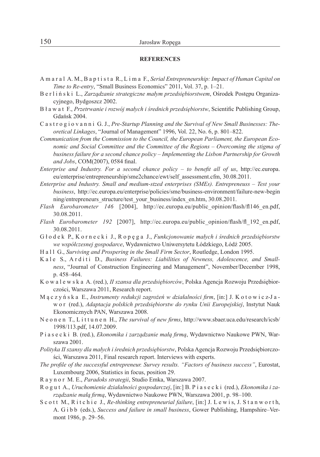#### **REFERENCES**

- A m a r a l A. M., B a p t i s t a R., L i m a F., *Serial Entrepreneurship: Impact of Human Capital on Time to Re-entry*, "Small Business Economics" 2011, Vol. 37, p. 1–21.
- B e r l i ń s k i L., *Zarządzanie strategiczne małym przedsiębiorstwem*, Ośrodek Postępu Organizacyjnego, Bydgoszcz 2002.
- B ł a w a t F., *Przetrwanie i rozwój małych i średnich przedsiębiorstw*, Scientific Publishing Group, Gdańsk 2004.
- C a s t r o g i o v a n n i G. J., *Pre-Startup Planning and the Survival of New Small Businesses: Theoretical Linkages*, "Journal of Management" 1996, Vol. 22, No. 6, p. 801–822.
- *Communication from the Commission to the Council, the European Parliament, the European Economic and Social Committee and the Committee of the Regions – Overcoming the stigma of business failure for a second chance policy – Implementing the Lisbon Partnership for Growth and Jobs*, COM(2007), 0584 final.
- *Enterprise and Industry. For a second chance policy to benefit all of us*, http://ec.europa. eu/enterprise/entrepreneurship/sme2chance/ewt/self\_assessment.cfm, 30.08.2011.
- *Enterprise and Industry. Small and medium-stzed enterprises (SMEs). Entrepreneuss Test your business*, http://ec.europa.eu/enterprise/policies/sme/business-environment/failure-new-begin ning/entrepreneurs\_structure/test\_your\_business/index\_en.htm, 30.08.2011.
- *Flash Eurobarometer 146* [2004], http://ec.europa.eu/public\_opinion/flash/fl146\_en.pdf, 30.08.2011.
- *Flash Eurobarometer 192* [2007], http://ec.europa.eu/public\_opinion/flash/fl\_192\_en.pdf, 30.08.2011.
- G ł o d e k P., K o r n e c k i J., R o p ę g a J., *Funkcjonowanie małych i średnich przedsiębiorstw we współczesnej gospodarce*, Wydawnictwo Uniwersytetu Łódzkiego, Łódź 2005.
- H a l l G., *Surviving and Prospering in the Small Firm Sector*, Routledge, London 1995.
- Kale S., Arditi D., *Business Failures: Liabilities of Newness, Adolescence, and Smallness*, "Journal of Construction Engineering and Management", November/December 1998, p. 458–464.
- K o w a l e w s k a A. (red.), *II szansa dla przedsiębiorców*, Polska Agencja Rozwoju Przedsiębiorczości, Warszawa 2011, Research report.
- M ą c z y ń s k a E., *Instrumenty redukcji zagrożeń w działalności firm*, [in:] J. K o t o w i c z-J a w o r (red.), *Adaptacja polskich przedsiębiorstw do rynku Unii Europejskiej*, Instytut Nauk Ekonomicznych PAN, Warszawa 2008.
- N e o n e n T., L i t t u n e n H., *The survival of new firms*, http://www.sbaer.uca.edu/research/icsb/ 1998/113.pdf, 14.07.2009.
- P i a s e c k i B. (red.), *Ekonomika i zarządzanie małą firmą*, Wydawnictwo Naukowe PWN, Warszawa 2001.
- *Polityka II szansy dla małych i średnich przedsiębiorstw*, Polska Agencja Rozwoju Przedsiębiorczości, Warszawa 2011, Final research report. Interviews with experts.
- *The profile of the successful entrepreneur. Survey results. "Factors of business success"*, Eurostat, Luxembourg 2006, Statistics in focus, position 29.
- R a y n o r M. E., *Paradoks strategii*, Studio Emka, Warszawa 2007.
- R o g u t A., *Uruchomienie działalności gospodarczej*, [in:] B. P i a s e c k i (red.), *Ekonomika i zarządzanie małą firmą*, Wydawnictwo Naukowe PWN, Warszawa 2001, p. 98–100.
- S c o t t M., R i t c h i e J., *Re-thinking entrepreneurial failure*, [in:] J. L e w i s, J. S t a n w o r t h, A. G i b b (eds.), *Success and failure in small business*, Gower Publishing, Hampshire–Vermont 1986, p. 29–56.